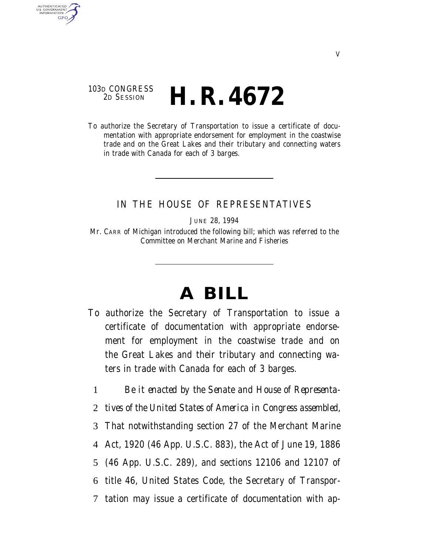## 103D CONGRESS<br>2D SESSION 2D SESSION **H. R. 4672**

AUTHENTICATED<br>U.S. GOVERNMENT<br>INFORMATION **GPO** 

> To authorize the Secretary of Transportation to issue a certificate of documentation with appropriate endorsement for employment in the coastwise trade and on the Great Lakes and their tributary and connecting waters in trade with Canada for each of 3 barges.

## IN THE HOUSE OF REPRESENTATIVES

JUNE 28, 1994

Mr. CARR of Michigan introduced the following bill; which was referred to the Committee on Merchant Marine and Fisheries

## **A BILL**

- To authorize the Secretary of Transportation to issue a certificate of documentation with appropriate endorsement for employment in the coastwise trade and on the Great Lakes and their tributary and connecting waters in trade with Canada for each of 3 barges.
	- 1 *Be it enacted by the Senate and House of Representa-*
	- 2 *tives of the United States of America in Congress assembled,*
	- 3 That notwithstanding section 27 of the Merchant Marine
	- 4 Act, 1920 (46 App. U.S.C. 883), the Act of June 19, 1886
	- 5 (46 App. U.S.C. 289), and sections 12106 and 12107 of
	- 6 title 46, United States Code, the Secretary of Transpor-
	- 7 tation may issue a certificate of documentation with ap-